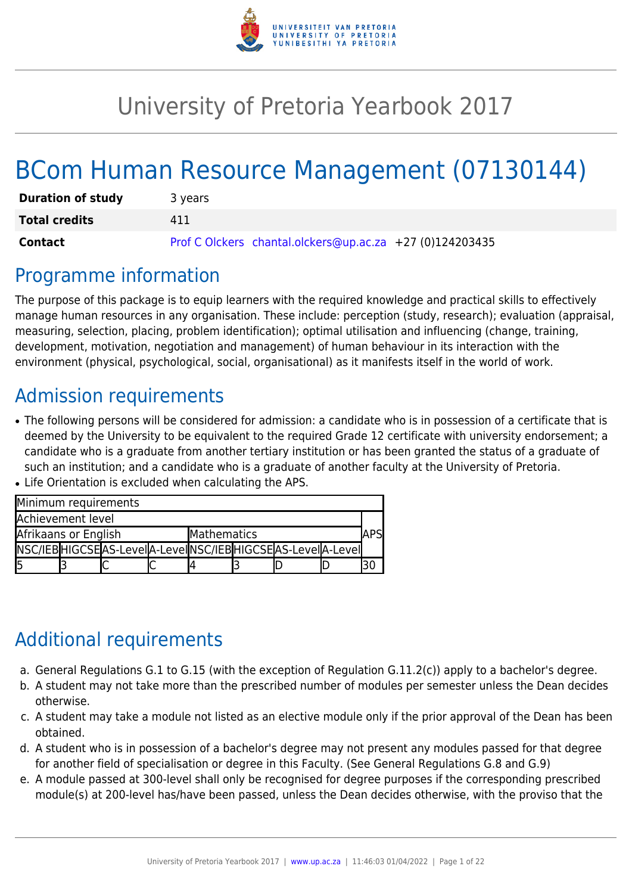

# University of Pretoria Yearbook 2017

# BCom Human Resource Management (07130144)

| <b>Duration of study</b> | 3 years                                                  |
|--------------------------|----------------------------------------------------------|
| <b>Total credits</b>     | 411                                                      |
| Contact                  | Prof C Olckers chantal.olckers@up.ac.za +27 (0)124203435 |

## Programme information

The purpose of this package is to equip learners with the required knowledge and practical skills to effectively manage human resources in any organisation. These include: perception (study, research); evaluation (appraisal, measuring, selection, placing, problem identification); optimal utilisation and influencing (change, training, development, motivation, negotiation and management) of human behaviour in its interaction with the environment (physical, psychological, social, organisational) as it manifests itself in the world of work.

## Admission requirements

• The following persons will be considered for admission: a candidate who is in possession of a certificate that is deemed by the University to be equivalent to the required Grade 12 certificate with university endorsement; a candidate who is a graduate from another tertiary institution or has been granted the status of a graduate of such an institution; and a candidate who is a graduate of another faculty at the University of Pretoria.

| Minimum requirements |  |                                                                |             |  |  |  |  |
|----------------------|--|----------------------------------------------------------------|-------------|--|--|--|--|
| Achievement level    |  |                                                                |             |  |  |  |  |
| Afrikaans or English |  |                                                                | Mathematics |  |  |  |  |
|                      |  | NSC/IEB HIGCSE AS-Leve  A-Leve  NSC/IEB HIGCSE AS-Leve  A-Leve |             |  |  |  |  |
| l5                   |  |                                                                |             |  |  |  |  |

• Life Orientation is excluded when calculating the APS.

## Additional requirements

- a. General Regulations G.1 to G.15 (with the exception of Regulation G.11.2(c)) apply to a bachelor's degree.
- b. A student may not take more than the prescribed number of modules per semester unless the Dean decides otherwise.
- c. A student may take a module not listed as an elective module only if the prior approval of the Dean has been obtained.
- d. A student who is in possession of a bachelor's degree may not present any modules passed for that degree for another field of specialisation or degree in this Faculty. (See General Regulations G.8 and G.9)
- e. A module passed at 300-level shall only be recognised for degree purposes if the corresponding prescribed module(s) at 200-level has/have been passed, unless the Dean decides otherwise, with the proviso that the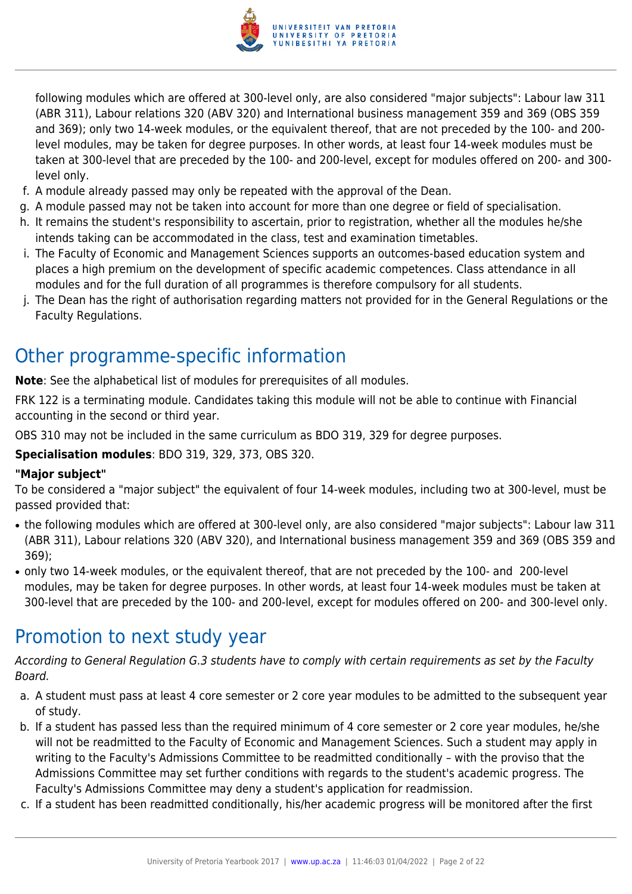

following modules which are offered at 300-level only, are also considered "major subjects": Labour law 311 (ABR 311), Labour relations 320 (ABV 320) and International business management 359 and 369 (OBS 359 and 369); only two 14-week modules, or the equivalent thereof, that are not preceded by the 100- and 200 level modules, may be taken for degree purposes. In other words, at least four 14-week modules must be taken at 300-level that are preceded by the 100- and 200-level, except for modules offered on 200- and 300 level only.

- f. A module already passed may only be repeated with the approval of the Dean.
- g. A module passed may not be taken into account for more than one degree or field of specialisation.
- h. It remains the student's responsibility to ascertain, prior to registration, whether all the modules he/she intends taking can be accommodated in the class, test and examination timetables.
- i. The Faculty of Economic and Management Sciences supports an outcomes-based education system and places a high premium on the development of specific academic competences. Class attendance in all modules and for the full duration of all programmes is therefore compulsory for all students.
- j. The Dean has the right of authorisation regarding matters not provided for in the General Regulations or the Faculty Regulations.

## Other programme-specific information

**Note:** See the alphabetical list of modules for prerequisites of all modules.

FRK 122 is a terminating module. Candidates taking this module will not be able to continue with Financial accounting in the second or third year.

OBS 310 may not be included in the same curriculum as BDO 319, 329 for degree purposes.

**Specialisation modules**: BDO 319, 329, 373, OBS 320.

## **"Major subject"**

To be considered a "major subject" the equivalent of four 14-week modules, including two at 300-level, must be passed provided that:

- the following modules which are offered at 300-level only, are also considered "major subjects": Labour law 311 (ABR 311), Labour relations 320 (ABV 320), and International business management 359 and 369 (OBS 359 and 369);
- only two 14-week modules, or the equivalent thereof, that are not preceded by the 100- and 200-level modules, may be taken for degree purposes. In other words, at least four 14-week modules must be taken at 300-level that are preceded by the 100- and 200-level, except for modules offered on 200- and 300-level only.

## Promotion to next study year

According to General Regulation G.3 students have to comply with certain requirements as set by the Faculty Board.

- a. A student must pass at least 4 core semester or 2 core year modules to be admitted to the subsequent year of study.
- b. If a student has passed less than the required minimum of 4 core semester or 2 core year modules, he/she will not be readmitted to the Faculty of Economic and Management Sciences. Such a student may apply in writing to the Faculty's Admissions Committee to be readmitted conditionally – with the proviso that the Admissions Committee may set further conditions with regards to the student's academic progress. The Faculty's Admissions Committee may deny a student's application for readmission.
- c. If a student has been readmitted conditionally, his/her academic progress will be monitored after the first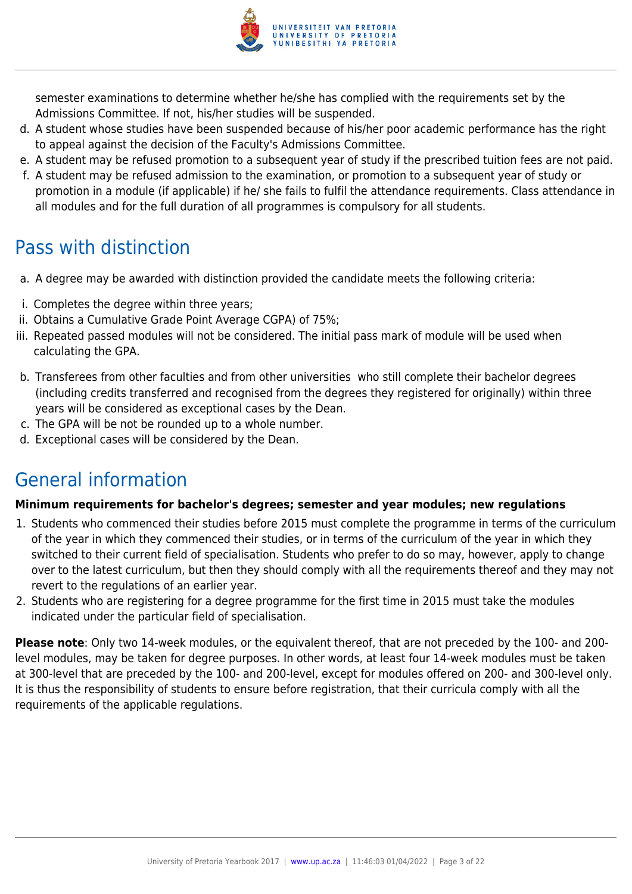

semester examinations to determine whether he/she has complied with the requirements set by the Admissions Committee. If not, his/her studies will be suspended.

- d. A student whose studies have been suspended because of his/her poor academic performance has the right to appeal against the decision of the Faculty's Admissions Committee.
- e. A student may be refused promotion to a subsequent year of study if the prescribed tuition fees are not paid.
- f. A student may be refused admission to the examination, or promotion to a subsequent year of study or promotion in a module (if applicable) if he/ she fails to fulfil the attendance requirements. Class attendance in all modules and for the full duration of all programmes is compulsory for all students.

## Pass with distinction

- a. A degree may be awarded with distinction provided the candidate meets the following criteria:
- i. Completes the degree within three years;
- ii. Obtains a Cumulative Grade Point Average CGPA) of 75%;
- iii. Repeated passed modules will not be considered. The initial pass mark of module will be used when calculating the GPA.
- b. Transferees from other faculties and from other universities who still complete their bachelor degrees (including credits transferred and recognised from the degrees they registered for originally) within three years will be considered as exceptional cases by the Dean.
- c. The GPA will be not be rounded up to a whole number.
- d. Exceptional cases will be considered by the Dean.

## General information

## **Minimum requirements for bachelor's degrees; semester and year modules; new regulations**

- 1. Students who commenced their studies before 2015 must complete the programme in terms of the curriculum of the year in which they commenced their studies, or in terms of the curriculum of the year in which they switched to their current field of specialisation. Students who prefer to do so may, however, apply to change over to the latest curriculum, but then they should comply with all the requirements thereof and they may not revert to the regulations of an earlier year.
- 2. Students who are registering for a degree programme for the first time in 2015 must take the modules indicated under the particular field of specialisation.

**Please note**: Only two 14-week modules, or the equivalent thereof, that are not preceded by the 100- and 200 level modules, may be taken for degree purposes. In other words, at least four 14-week modules must be taken at 300-level that are preceded by the 100- and 200-level, except for modules offered on 200- and 300-level only. It is thus the responsibility of students to ensure before registration, that their curricula comply with all the requirements of the applicable regulations.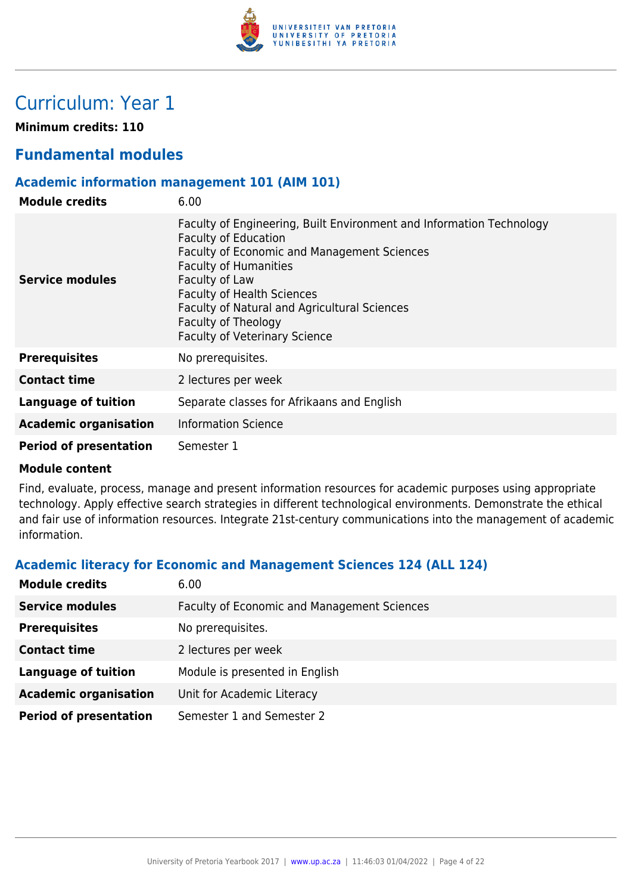

## Curriculum: Year 1

**Minimum credits: 110**

## **Fundamental modules**

### **Academic information management 101 (AIM 101)**

| <b>Module credits</b>         | 6.00                                                                                                                                                                                                                                                                                                                                                     |
|-------------------------------|----------------------------------------------------------------------------------------------------------------------------------------------------------------------------------------------------------------------------------------------------------------------------------------------------------------------------------------------------------|
| Service modules               | Faculty of Engineering, Built Environment and Information Technology<br><b>Faculty of Education</b><br>Faculty of Economic and Management Sciences<br><b>Faculty of Humanities</b><br>Faculty of Law<br><b>Faculty of Health Sciences</b><br>Faculty of Natural and Agricultural Sciences<br>Faculty of Theology<br><b>Faculty of Veterinary Science</b> |
| <b>Prerequisites</b>          | No prerequisites.                                                                                                                                                                                                                                                                                                                                        |
| <b>Contact time</b>           | 2 lectures per week                                                                                                                                                                                                                                                                                                                                      |
| Language of tuition           | Separate classes for Afrikaans and English                                                                                                                                                                                                                                                                                                               |
| <b>Academic organisation</b>  | <b>Information Science</b>                                                                                                                                                                                                                                                                                                                               |
| <b>Period of presentation</b> | Semester 1                                                                                                                                                                                                                                                                                                                                               |

#### **Module content**

Find, evaluate, process, manage and present information resources for academic purposes using appropriate technology. Apply effective search strategies in different technological environments. Demonstrate the ethical and fair use of information resources. Integrate 21st-century communications into the management of academic information.

## **Academic literacy for Economic and Management Sciences 124 (ALL 124)**

| <b>Module credits</b>         | 6.00                                               |
|-------------------------------|----------------------------------------------------|
| <b>Service modules</b>        | <b>Faculty of Economic and Management Sciences</b> |
| <b>Prerequisites</b>          | No prerequisites.                                  |
| <b>Contact time</b>           | 2 lectures per week                                |
| <b>Language of tuition</b>    | Module is presented in English                     |
| <b>Academic organisation</b>  | Unit for Academic Literacy                         |
| <b>Period of presentation</b> | Semester 1 and Semester 2                          |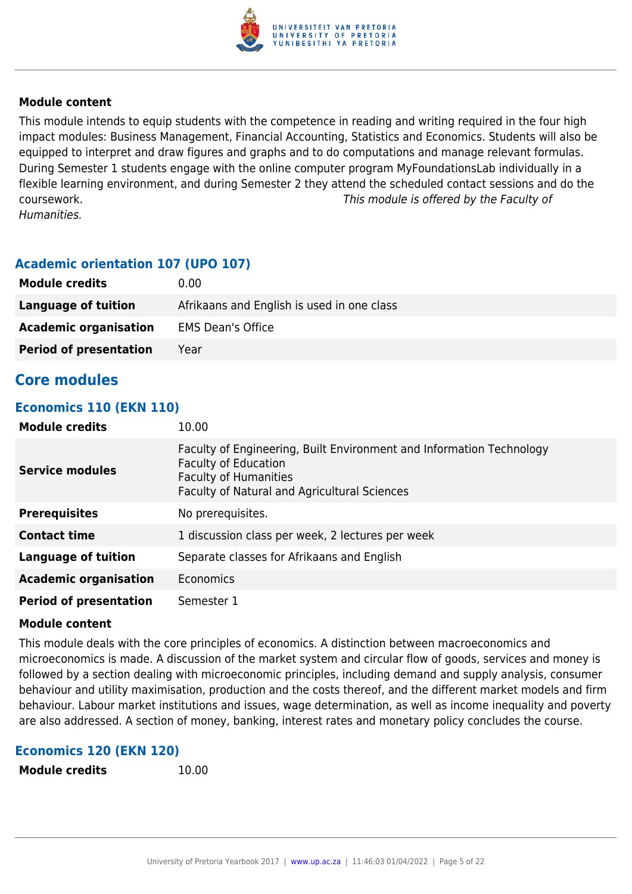

This module intends to equip students with the competence in reading and writing required in the four high impact modules: Business Management, Financial Accounting, Statistics and Economics. Students will also be equipped to interpret and draw figures and graphs and to do computations and manage relevant formulas. During Semester 1 students engage with the online computer program MyFoundationsLab individually in a flexible learning environment, and during Semester 2 they attend the scheduled contact sessions and do the coursework. This module is offered by the Faculty of Humanities.

## **Academic orientation 107 (UPO 107)**

| <b>Module credits</b>         | 0.00                                       |
|-------------------------------|--------------------------------------------|
| Language of tuition           | Afrikaans and English is used in one class |
| <b>Academic organisation</b>  | <b>EMS Dean's Office</b>                   |
| <b>Period of presentation</b> | Year                                       |

## **Core modules**

#### **Economics 110 (EKN 110)**

| <b>Module credits</b>         | 10.00                                                                                                                                                                                      |
|-------------------------------|--------------------------------------------------------------------------------------------------------------------------------------------------------------------------------------------|
| <b>Service modules</b>        | Faculty of Engineering, Built Environment and Information Technology<br><b>Faculty of Education</b><br><b>Faculty of Humanities</b><br><b>Faculty of Natural and Agricultural Sciences</b> |
| <b>Prerequisites</b>          | No prerequisites.                                                                                                                                                                          |
| <b>Contact time</b>           | 1 discussion class per week, 2 lectures per week                                                                                                                                           |
| Language of tuition           | Separate classes for Afrikaans and English                                                                                                                                                 |
| <b>Academic organisation</b>  | Economics                                                                                                                                                                                  |
| <b>Period of presentation</b> | Semester 1                                                                                                                                                                                 |

#### **Module content**

This module deals with the core principles of economics. A distinction between macroeconomics and microeconomics is made. A discussion of the market system and circular flow of goods, services and money is followed by a section dealing with microeconomic principles, including demand and supply analysis, consumer behaviour and utility maximisation, production and the costs thereof, and the different market models and firm behaviour. Labour market institutions and issues, wage determination, as well as income inequality and poverty are also addressed. A section of money, banking, interest rates and monetary policy concludes the course.

#### **Economics 120 (EKN 120)**

**Module credits** 10.00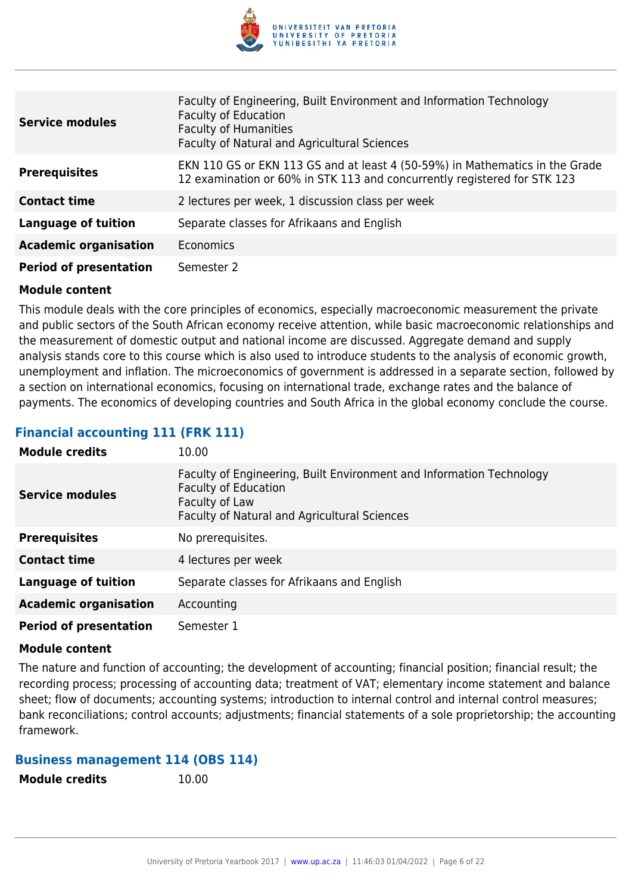

| EKN 110 GS or EKN 113 GS and at least 4 (50-59%) in Mathematics in the Grade |
|------------------------------------------------------------------------------|
|                                                                              |
|                                                                              |
|                                                                              |
|                                                                              |
|                                                                              |

This module deals with the core principles of economics, especially macroeconomic measurement the private and public sectors of the South African economy receive attention, while basic macroeconomic relationships and the measurement of domestic output and national income are discussed. Aggregate demand and supply analysis stands core to this course which is also used to introduce students to the analysis of economic growth, unemployment and inflation. The microeconomics of government is addressed in a separate section, followed by a section on international economics, focusing on international trade, exchange rates and the balance of payments. The economics of developing countries and South Africa in the global economy conclude the course.

## **Financial accounting 111 (FRK 111)**

| <b>Module credits</b>         | 10.00                                                                                                                                                                 |
|-------------------------------|-----------------------------------------------------------------------------------------------------------------------------------------------------------------------|
| <b>Service modules</b>        | Faculty of Engineering, Built Environment and Information Technology<br><b>Faculty of Education</b><br>Faculty of Law<br>Faculty of Natural and Agricultural Sciences |
| <b>Prerequisites</b>          | No prerequisites.                                                                                                                                                     |
| <b>Contact time</b>           | 4 lectures per week                                                                                                                                                   |
| <b>Language of tuition</b>    | Separate classes for Afrikaans and English                                                                                                                            |
| <b>Academic organisation</b>  | Accounting                                                                                                                                                            |
| <b>Period of presentation</b> | Semester 1                                                                                                                                                            |

#### **Module content**

The nature and function of accounting; the development of accounting; financial position; financial result; the recording process; processing of accounting data; treatment of VAT; elementary income statement and balance sheet; flow of documents; accounting systems; introduction to internal control and internal control measures; bank reconciliations; control accounts; adjustments; financial statements of a sole proprietorship; the accounting framework.

#### **Business management 114 (OBS 114)**

**Module credits** 10.00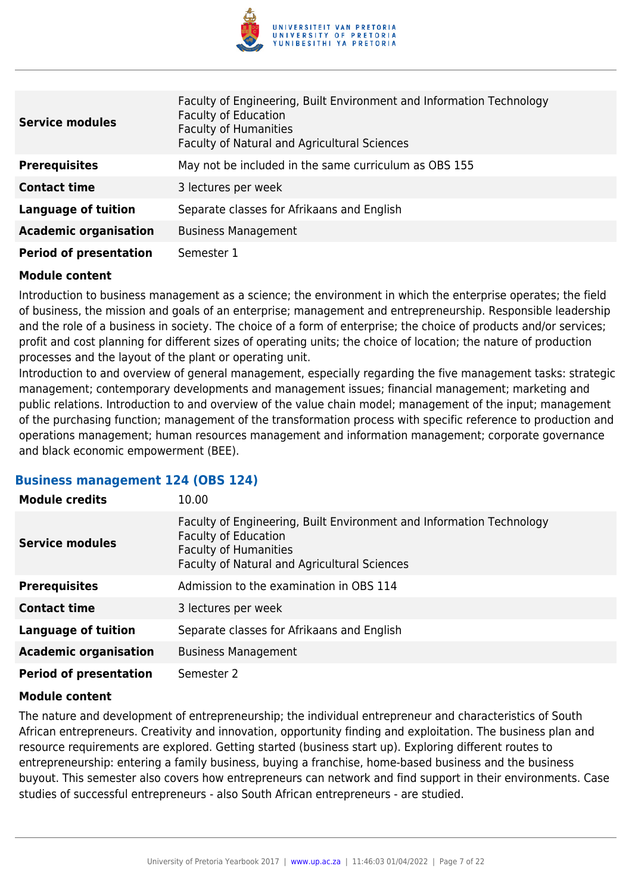

| <b>Service modules</b>        | Faculty of Engineering, Built Environment and Information Technology<br><b>Faculty of Education</b><br><b>Faculty of Humanities</b><br>Faculty of Natural and Agricultural Sciences |
|-------------------------------|-------------------------------------------------------------------------------------------------------------------------------------------------------------------------------------|
| <b>Prerequisites</b>          | May not be included in the same curriculum as OBS 155                                                                                                                               |
| <b>Contact time</b>           | 3 lectures per week                                                                                                                                                                 |
| <b>Language of tuition</b>    | Separate classes for Afrikaans and English                                                                                                                                          |
| <b>Academic organisation</b>  | <b>Business Management</b>                                                                                                                                                          |
| <b>Period of presentation</b> | Semester 1                                                                                                                                                                          |

Introduction to business management as a science; the environment in which the enterprise operates; the field of business, the mission and goals of an enterprise; management and entrepreneurship. Responsible leadership and the role of a business in society. The choice of a form of enterprise; the choice of products and/or services; profit and cost planning for different sizes of operating units; the choice of location; the nature of production processes and the layout of the plant or operating unit.

Introduction to and overview of general management, especially regarding the five management tasks: strategic management; contemporary developments and management issues; financial management; marketing and public relations. Introduction to and overview of the value chain model; management of the input; management of the purchasing function; management of the transformation process with specific reference to production and operations management; human resources management and information management; corporate governance and black economic empowerment (BEE).

#### **Business management 124 (OBS 124)**

| <b>Module credits</b>         | 10.00                                                                                                                                                                               |
|-------------------------------|-------------------------------------------------------------------------------------------------------------------------------------------------------------------------------------|
| <b>Service modules</b>        | Faculty of Engineering, Built Environment and Information Technology<br><b>Faculty of Education</b><br><b>Faculty of Humanities</b><br>Faculty of Natural and Agricultural Sciences |
| <b>Prerequisites</b>          | Admission to the examination in OBS 114                                                                                                                                             |
| <b>Contact time</b>           | 3 lectures per week                                                                                                                                                                 |
| <b>Language of tuition</b>    | Separate classes for Afrikaans and English                                                                                                                                          |
| <b>Academic organisation</b>  | <b>Business Management</b>                                                                                                                                                          |
| <b>Period of presentation</b> | Semester 2                                                                                                                                                                          |

#### **Module content**

The nature and development of entrepreneurship; the individual entrepreneur and characteristics of South African entrepreneurs. Creativity and innovation, opportunity finding and exploitation. The business plan and resource requirements are explored. Getting started (business start up). Exploring different routes to entrepreneurship: entering a family business, buying a franchise, home-based business and the business buyout. This semester also covers how entrepreneurs can network and find support in their environments. Case studies of successful entrepreneurs - also South African entrepreneurs - are studied.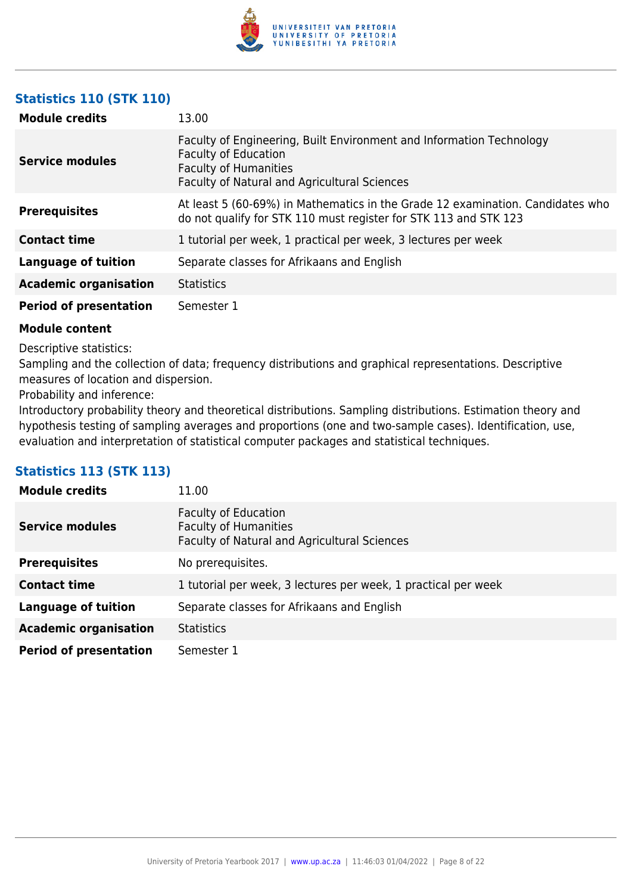

## **Statistics 110 (STK 110)**

| <b>Module credits</b>         | 13.00                                                                                                                                                                               |
|-------------------------------|-------------------------------------------------------------------------------------------------------------------------------------------------------------------------------------|
| Service modules               | Faculty of Engineering, Built Environment and Information Technology<br><b>Faculty of Education</b><br><b>Faculty of Humanities</b><br>Faculty of Natural and Agricultural Sciences |
| <b>Prerequisites</b>          | At least 5 (60-69%) in Mathematics in the Grade 12 examination. Candidates who<br>do not qualify for STK 110 must register for STK 113 and STK 123                                  |
| <b>Contact time</b>           | 1 tutorial per week, 1 practical per week, 3 lectures per week                                                                                                                      |
| <b>Language of tuition</b>    | Separate classes for Afrikaans and English                                                                                                                                          |
| <b>Academic organisation</b>  | <b>Statistics</b>                                                                                                                                                                   |
| <b>Period of presentation</b> | Semester 1                                                                                                                                                                          |

#### **Module content**

Descriptive statistics:

Sampling and the collection of data; frequency distributions and graphical representations. Descriptive measures of location and dispersion.

Probability and inference:

Introductory probability theory and theoretical distributions. Sampling distributions. Estimation theory and hypothesis testing of sampling averages and proportions (one and two-sample cases). Identification, use, evaluation and interpretation of statistical computer packages and statistical techniques.

## **Statistics 113 (STK 113)**

| <b>Module credits</b>         | 11.00                                                                                                       |
|-------------------------------|-------------------------------------------------------------------------------------------------------------|
| <b>Service modules</b>        | <b>Faculty of Education</b><br><b>Faculty of Humanities</b><br>Faculty of Natural and Agricultural Sciences |
| <b>Prerequisites</b>          | No prerequisites.                                                                                           |
| <b>Contact time</b>           | 1 tutorial per week, 3 lectures per week, 1 practical per week                                              |
| Language of tuition           | Separate classes for Afrikaans and English                                                                  |
| <b>Academic organisation</b>  | <b>Statistics</b>                                                                                           |
| <b>Period of presentation</b> | Semester 1                                                                                                  |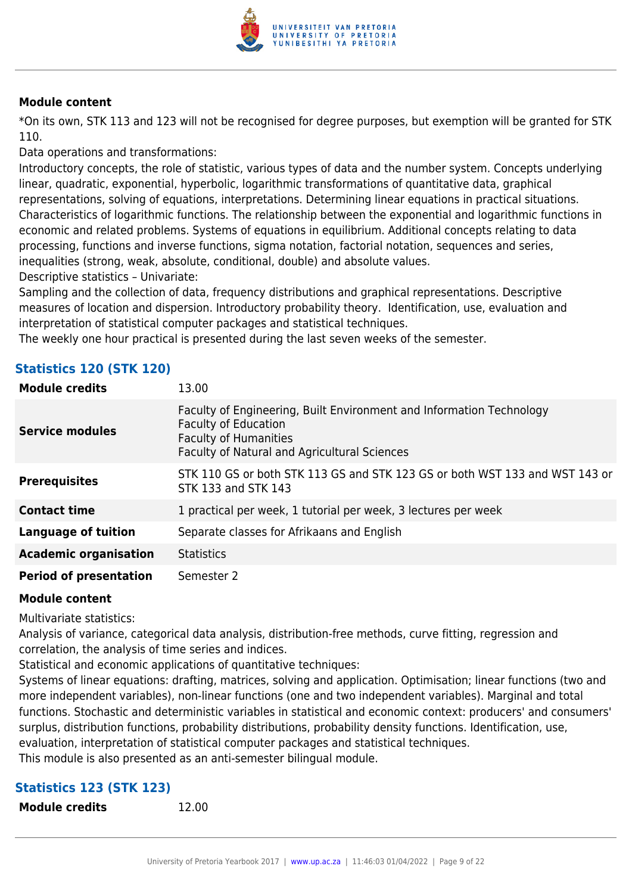

\*On its own, STK 113 and 123 will not be recognised for degree purposes, but exemption will be granted for STK 110.

Data operations and transformations:

Introductory concepts, the role of statistic, various types of data and the number system. Concepts underlying linear, quadratic, exponential, hyperbolic, logarithmic transformations of quantitative data, graphical representations, solving of equations, interpretations. Determining linear equations in practical situations. Characteristics of logarithmic functions. The relationship between the exponential and logarithmic functions in economic and related problems. Systems of equations in equilibrium. Additional concepts relating to data processing, functions and inverse functions, sigma notation, factorial notation, sequences and series, inequalities (strong, weak, absolute, conditional, double) and absolute values.

Descriptive statistics – Univariate:

Sampling and the collection of data, frequency distributions and graphical representations. Descriptive measures of location and dispersion. Introductory probability theory. Identification, use, evaluation and interpretation of statistical computer packages and statistical techniques.

The weekly one hour practical is presented during the last seven weeks of the semester.

| <b>Statistics 120 (STK 120)</b> |  |  |  |
|---------------------------------|--|--|--|
|---------------------------------|--|--|--|

| <b>Module credits</b>         | 13.00                                                                                                                                                                               |
|-------------------------------|-------------------------------------------------------------------------------------------------------------------------------------------------------------------------------------|
| <b>Service modules</b>        | Faculty of Engineering, Built Environment and Information Technology<br><b>Faculty of Education</b><br><b>Faculty of Humanities</b><br>Faculty of Natural and Agricultural Sciences |
| <b>Prerequisites</b>          | STK 110 GS or both STK 113 GS and STK 123 GS or both WST 133 and WST 143 or<br>STK 133 and STK 143                                                                                  |
| <b>Contact time</b>           | 1 practical per week, 1 tutorial per week, 3 lectures per week                                                                                                                      |
| <b>Language of tuition</b>    | Separate classes for Afrikaans and English                                                                                                                                          |
| <b>Academic organisation</b>  | <b>Statistics</b>                                                                                                                                                                   |
| <b>Period of presentation</b> | Semester 2                                                                                                                                                                          |

#### **Module content**

Multivariate statistics:

Analysis of variance, categorical data analysis, distribution-free methods, curve fitting, regression and correlation, the analysis of time series and indices.

Statistical and economic applications of quantitative techniques:

Systems of linear equations: drafting, matrices, solving and application. Optimisation; linear functions (two and more independent variables), non-linear functions (one and two independent variables). Marginal and total functions. Stochastic and deterministic variables in statistical and economic context: producers' and consumers' surplus, distribution functions, probability distributions, probability density functions. Identification, use, evaluation, interpretation of statistical computer packages and statistical techniques. This module is also presented as an anti-semester bilingual module.

## **Statistics 123 (STK 123)**

**Module credits** 12.00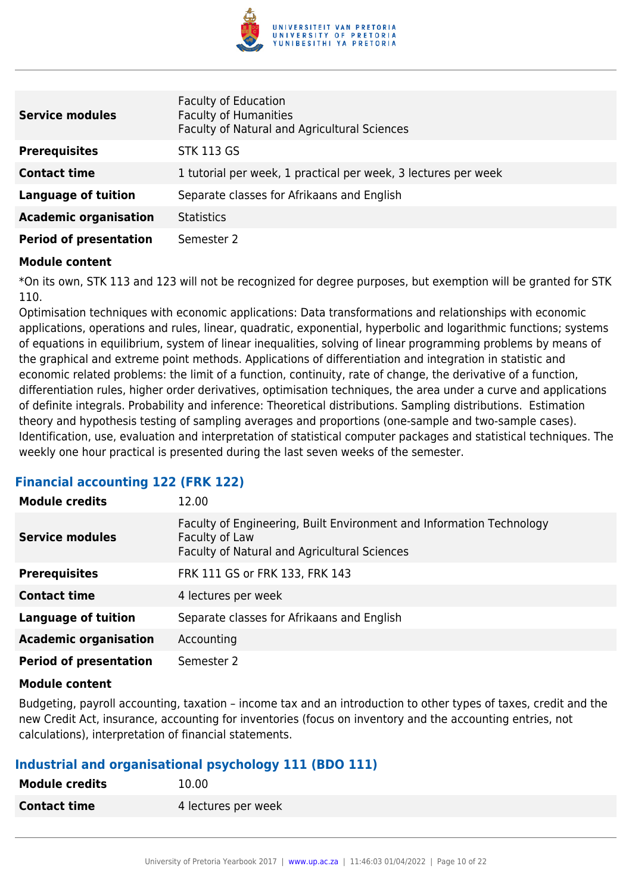

| <b>Service modules</b>        | <b>Faculty of Education</b><br><b>Faculty of Humanities</b><br>Faculty of Natural and Agricultural Sciences |
|-------------------------------|-------------------------------------------------------------------------------------------------------------|
| <b>Prerequisites</b>          | <b>STK 113 GS</b>                                                                                           |
| <b>Contact time</b>           | 1 tutorial per week, 1 practical per week, 3 lectures per week                                              |
| <b>Language of tuition</b>    | Separate classes for Afrikaans and English                                                                  |
| <b>Academic organisation</b>  | <b>Statistics</b>                                                                                           |
| <b>Period of presentation</b> | Semester 2                                                                                                  |

\*On its own, STK 113 and 123 will not be recognized for degree purposes, but exemption will be granted for STK 110.

Optimisation techniques with economic applications: Data transformations and relationships with economic applications, operations and rules, linear, quadratic, exponential, hyperbolic and logarithmic functions; systems of equations in equilibrium, system of linear inequalities, solving of linear programming problems by means of the graphical and extreme point methods. Applications of differentiation and integration in statistic and economic related problems: the limit of a function, continuity, rate of change, the derivative of a function, differentiation rules, higher order derivatives, optimisation techniques, the area under a curve and applications of definite integrals. Probability and inference: Theoretical distributions. Sampling distributions. Estimation theory and hypothesis testing of sampling averages and proportions (one-sample and two-sample cases). Identification, use, evaluation and interpretation of statistical computer packages and statistical techniques. The weekly one hour practical is presented during the last seven weeks of the semester.

#### **Financial accounting 122 (FRK 122)**

| <b>Module credits</b>         | 12.00                                                                                                                                  |
|-------------------------------|----------------------------------------------------------------------------------------------------------------------------------------|
| <b>Service modules</b>        | Faculty of Engineering, Built Environment and Information Technology<br>Faculty of Law<br>Faculty of Natural and Agricultural Sciences |
| <b>Prerequisites</b>          | FRK 111 GS or FRK 133, FRK 143                                                                                                         |
| <b>Contact time</b>           | 4 lectures per week                                                                                                                    |
| Language of tuition           | Separate classes for Afrikaans and English                                                                                             |
| <b>Academic organisation</b>  | Accounting                                                                                                                             |
| <b>Period of presentation</b> | Semester 2                                                                                                                             |

#### **Module content**

Budgeting, payroll accounting, taxation – income tax and an introduction to other types of taxes, credit and the new Credit Act, insurance, accounting for inventories (focus on inventory and the accounting entries, not calculations), interpretation of financial statements.

#### **Industrial and organisational psychology 111 (BDO 111)**

| <b>Module credits</b> | 10.00               |
|-----------------------|---------------------|
| <b>Contact time</b>   | 4 lectures per week |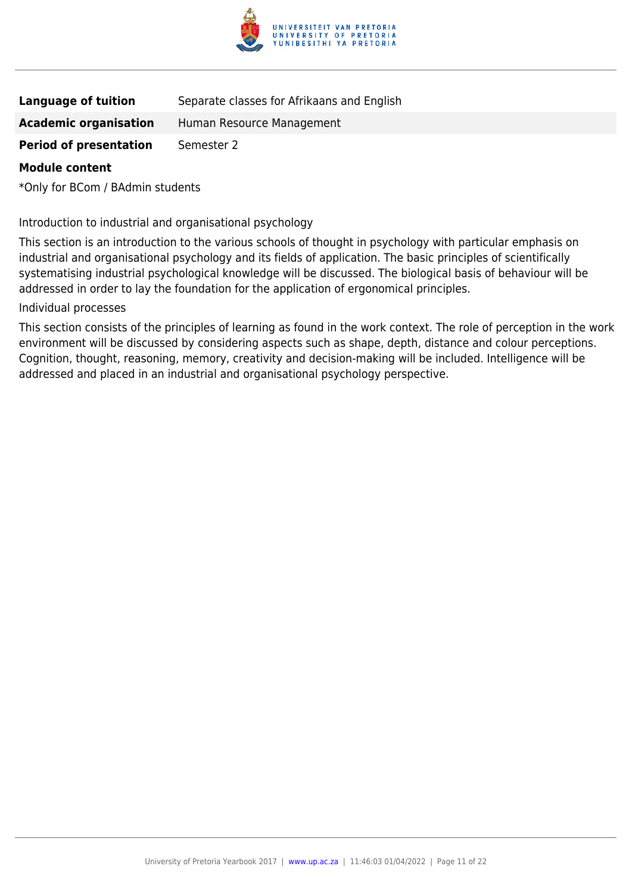

| <b>Language of tuition</b> | Separate classes for Afrikaans and English |  |
|----------------------------|--------------------------------------------|--|
|                            |                                            |  |

**Academic organisation** Human Resource Management

**Period of presentation** Semester 2

#### **Module content**

\*Only for BCom / BAdmin students

Introduction to industrial and organisational psychology

This section is an introduction to the various schools of thought in psychology with particular emphasis on industrial and organisational psychology and its fields of application. The basic principles of scientifically systematising industrial psychological knowledge will be discussed. The biological basis of behaviour will be addressed in order to lay the foundation for the application of ergonomical principles.

Individual processes

This section consists of the principles of learning as found in the work context. The role of perception in the work environment will be discussed by considering aspects such as shape, depth, distance and colour perceptions. Cognition, thought, reasoning, memory, creativity and decision-making will be included. Intelligence will be addressed and placed in an industrial and organisational psychology perspective.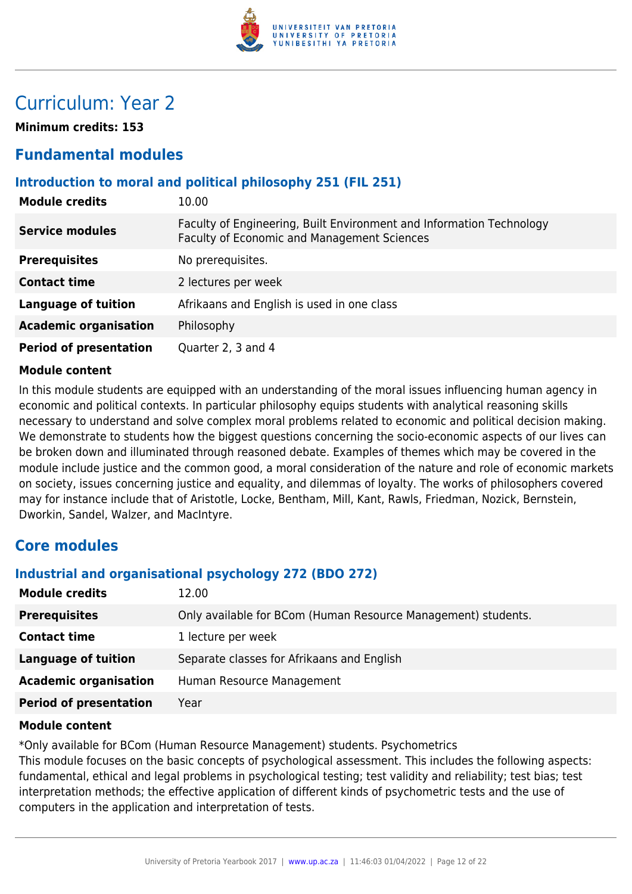

## Curriculum: Year 2

**Minimum credits: 153**

## **Fundamental modules**

## **Introduction to moral and political philosophy 251 (FIL 251)**

| <b>Module credits</b>         | 10.00                                                                                                               |
|-------------------------------|---------------------------------------------------------------------------------------------------------------------|
| <b>Service modules</b>        | Faculty of Engineering, Built Environment and Information Technology<br>Faculty of Economic and Management Sciences |
| <b>Prerequisites</b>          | No prerequisites.                                                                                                   |
| <b>Contact time</b>           | 2 lectures per week                                                                                                 |
| <b>Language of tuition</b>    | Afrikaans and English is used in one class                                                                          |
| <b>Academic organisation</b>  | Philosophy                                                                                                          |
| <b>Period of presentation</b> | Quarter 2, 3 and 4                                                                                                  |

#### **Module content**

In this module students are equipped with an understanding of the moral issues influencing human agency in economic and political contexts. In particular philosophy equips students with analytical reasoning skills necessary to understand and solve complex moral problems related to economic and political decision making. We demonstrate to students how the biggest questions concerning the socio-economic aspects of our lives can be broken down and illuminated through reasoned debate. Examples of themes which may be covered in the module include justice and the common good, a moral consideration of the nature and role of economic markets on society, issues concerning justice and equality, and dilemmas of loyalty. The works of philosophers covered may for instance include that of Aristotle, Locke, Bentham, Mill, Kant, Rawls, Friedman, Nozick, Bernstein, Dworkin, Sandel, Walzer, and MacIntyre.

## **Core modules**

## **Industrial and organisational psychology 272 (BDO 272)**

| <b>Module credits</b>         | 12.00                                                         |
|-------------------------------|---------------------------------------------------------------|
| <b>Prerequisites</b>          | Only available for BCom (Human Resource Management) students. |
| <b>Contact time</b>           | 1 lecture per week                                            |
| Language of tuition           | Separate classes for Afrikaans and English                    |
| <b>Academic organisation</b>  | Human Resource Management                                     |
| <b>Period of presentation</b> | Year                                                          |

#### **Module content**

\*Only available for BCom (Human Resource Management) students. Psychometrics

This module focuses on the basic concepts of psychological assessment. This includes the following aspects: fundamental, ethical and legal problems in psychological testing; test validity and reliability; test bias; test interpretation methods; the effective application of different kinds of psychometric tests and the use of computers in the application and interpretation of tests.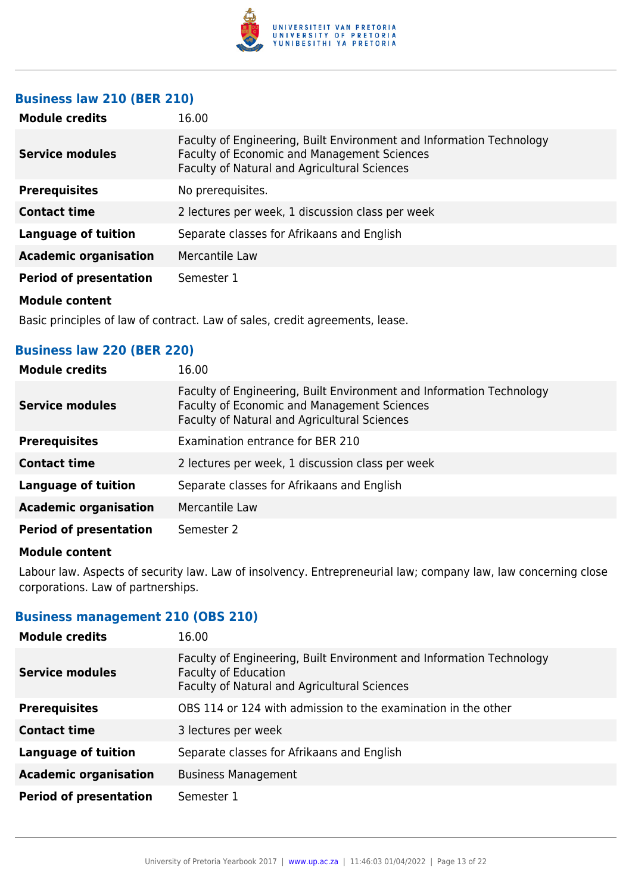

## **Business law 210 (BER 210)**

| <b>Module credits</b>         | 16.00                                                                                                                                                                      |
|-------------------------------|----------------------------------------------------------------------------------------------------------------------------------------------------------------------------|
| Service modules               | Faculty of Engineering, Built Environment and Information Technology<br><b>Faculty of Economic and Management Sciences</b><br>Faculty of Natural and Agricultural Sciences |
| <b>Prerequisites</b>          | No prerequisites.                                                                                                                                                          |
| <b>Contact time</b>           | 2 lectures per week, 1 discussion class per week                                                                                                                           |
| <b>Language of tuition</b>    | Separate classes for Afrikaans and English                                                                                                                                 |
| <b>Academic organisation</b>  | Mercantile Law                                                                                                                                                             |
| <b>Period of presentation</b> | Semester 1                                                                                                                                                                 |
| <b>Module content</b>         |                                                                                                                                                                            |

Basic principles of law of contract. Law of sales, credit agreements, lease.

#### **Business law 220 (BER 220)**

| <b>Module credits</b>         | 16.00                                                                                                                                                                      |
|-------------------------------|----------------------------------------------------------------------------------------------------------------------------------------------------------------------------|
| <b>Service modules</b>        | Faculty of Engineering, Built Environment and Information Technology<br>Faculty of Economic and Management Sciences<br><b>Faculty of Natural and Agricultural Sciences</b> |
| <b>Prerequisites</b>          | Examination entrance for BER 210                                                                                                                                           |
| <b>Contact time</b>           | 2 lectures per week, 1 discussion class per week                                                                                                                           |
| <b>Language of tuition</b>    | Separate classes for Afrikaans and English                                                                                                                                 |
| <b>Academic organisation</b>  | Mercantile Law                                                                                                                                                             |
| <b>Period of presentation</b> | Semester 2                                                                                                                                                                 |

#### **Module content**

Labour law. Aspects of security law. Law of insolvency. Entrepreneurial law; company law, law concerning close corporations. Law of partnerships.

## **Business management 210 (OBS 210)**

| <b>Module credits</b>         | 16.00                                                                                                                                               |
|-------------------------------|-----------------------------------------------------------------------------------------------------------------------------------------------------|
| <b>Service modules</b>        | Faculty of Engineering, Built Environment and Information Technology<br><b>Faculty of Education</b><br>Faculty of Natural and Agricultural Sciences |
| <b>Prerequisites</b>          | OBS 114 or 124 with admission to the examination in the other                                                                                       |
| <b>Contact time</b>           | 3 lectures per week                                                                                                                                 |
| <b>Language of tuition</b>    | Separate classes for Afrikaans and English                                                                                                          |
| <b>Academic organisation</b>  | <b>Business Management</b>                                                                                                                          |
| <b>Period of presentation</b> | Semester 1                                                                                                                                          |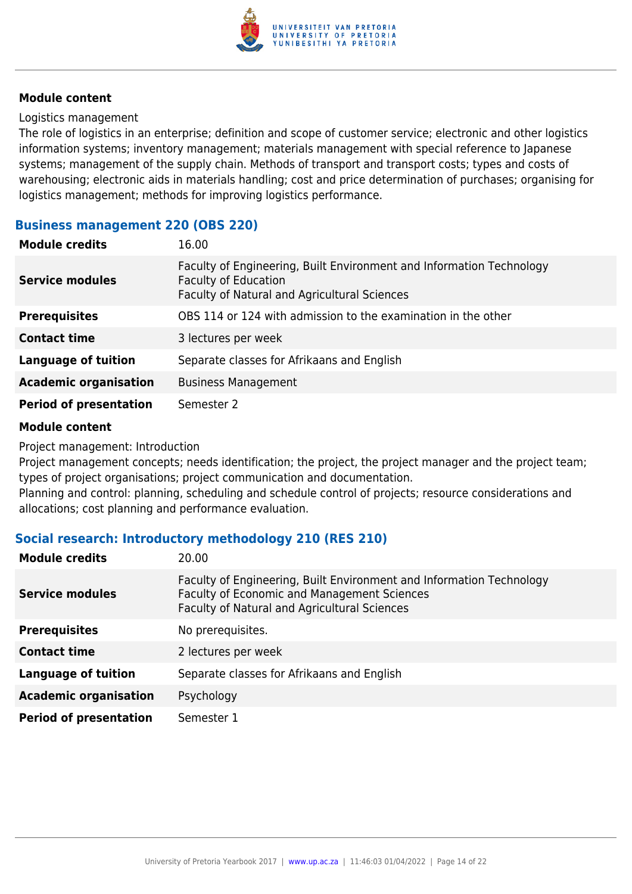

#### Logistics management

The role of logistics in an enterprise; definition and scope of customer service; electronic and other logistics information systems; inventory management; materials management with special reference to Japanese systems; management of the supply chain. Methods of transport and transport costs; types and costs of warehousing; electronic aids in materials handling; cost and price determination of purchases; organising for logistics management; methods for improving logistics performance.

#### **Business management 220 (OBS 220)**

| <b>Module credits</b>         | 16.00                                                                                                                                               |
|-------------------------------|-----------------------------------------------------------------------------------------------------------------------------------------------------|
| <b>Service modules</b>        | Faculty of Engineering, Built Environment and Information Technology<br><b>Faculty of Education</b><br>Faculty of Natural and Agricultural Sciences |
| <b>Prerequisites</b>          | OBS 114 or 124 with admission to the examination in the other                                                                                       |
| <b>Contact time</b>           | 3 lectures per week                                                                                                                                 |
| <b>Language of tuition</b>    | Separate classes for Afrikaans and English                                                                                                          |
| <b>Academic organisation</b>  | <b>Business Management</b>                                                                                                                          |
| <b>Period of presentation</b> | Semester 2                                                                                                                                          |

#### **Module content**

Project management: Introduction

Project management concepts; needs identification; the project, the project manager and the project team; types of project organisations; project communication and documentation.

Planning and control: planning, scheduling and schedule control of projects; resource considerations and allocations; cost planning and performance evaluation.

#### **Social research: Introductory methodology 210 (RES 210)**

| <b>Module credits</b>         | 20.00                                                                                                                                                                             |
|-------------------------------|-----------------------------------------------------------------------------------------------------------------------------------------------------------------------------------|
| <b>Service modules</b>        | Faculty of Engineering, Built Environment and Information Technology<br><b>Faculty of Economic and Management Sciences</b><br><b>Faculty of Natural and Agricultural Sciences</b> |
| <b>Prerequisites</b>          | No prerequisites.                                                                                                                                                                 |
| <b>Contact time</b>           | 2 lectures per week                                                                                                                                                               |
| <b>Language of tuition</b>    | Separate classes for Afrikaans and English                                                                                                                                        |
| <b>Academic organisation</b>  | Psychology                                                                                                                                                                        |
| <b>Period of presentation</b> | Semester 1                                                                                                                                                                        |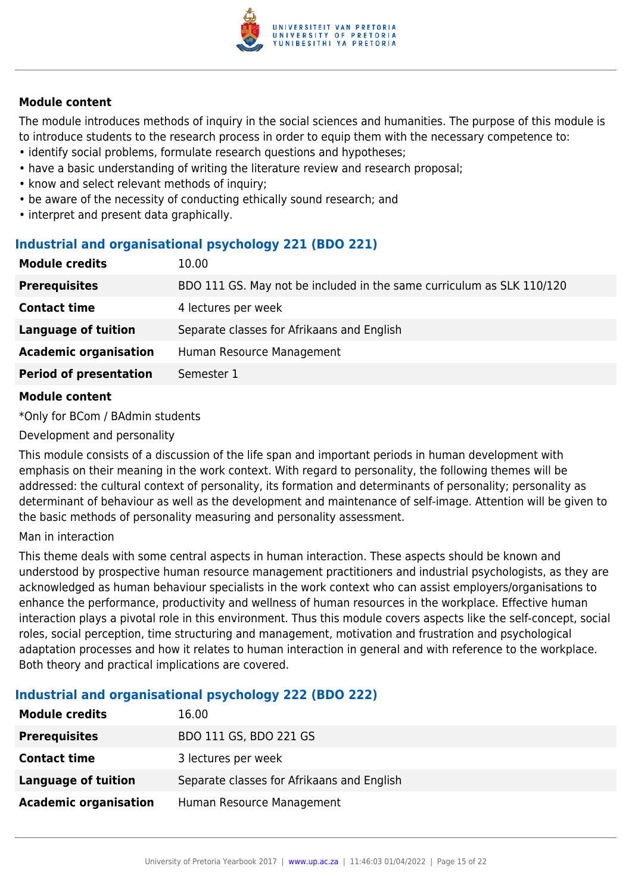

The module introduces methods of inquiry in the social sciences and humanities. The purpose of this module is to introduce students to the research process in order to equip them with the necessary competence to:

- identify social problems, formulate research questions and hypotheses;
- have a basic understanding of writing the literature review and research proposal;
- know and select relevant methods of inquiry;
- be aware of the necessity of conducting ethically sound research; and
- interpret and present data graphically.

## **Industrial and organisational psychology 221 (BDO 221)**

| <b>Module credits</b>         | 10.00                                                                 |
|-------------------------------|-----------------------------------------------------------------------|
| <b>Prerequisites</b>          | BDO 111 GS. May not be included in the same curriculum as SLK 110/120 |
| <b>Contact time</b>           | 4 lectures per week                                                   |
| <b>Language of tuition</b>    | Separate classes for Afrikaans and English                            |
| <b>Academic organisation</b>  | Human Resource Management                                             |
| <b>Period of presentation</b> | Semester 1                                                            |
|                               |                                                                       |

#### **Module content**

\*Only for BCom / BAdmin students

Development and personality

This module consists of a discussion of the life span and important periods in human development with emphasis on their meaning in the work context. With regard to personality, the following themes will be addressed: the cultural context of personality, its formation and determinants of personality; personality as determinant of behaviour as well as the development and maintenance of self-image. Attention will be given to the basic methods of personality measuring and personality assessment.

#### Man in interaction

This theme deals with some central aspects in human interaction. These aspects should be known and understood by prospective human resource management practitioners and industrial psychologists, as they are acknowledged as human behaviour specialists in the work context who can assist employers/organisations to enhance the performance, productivity and wellness of human resources in the workplace. Effective human interaction plays a pivotal role in this environment. Thus this module covers aspects like the self-concept, social roles, social perception, time structuring and management, motivation and frustration and psychological adaptation processes and how it relates to human interaction in general and with reference to the workplace. Both theory and practical implications are covered.

## **Industrial and organisational psychology 222 (BDO 222)**

| <b>Module credits</b>        | 16.00                                      |
|------------------------------|--------------------------------------------|
| <b>Prerequisites</b>         | BDO 111 GS, BDO 221 GS                     |
| <b>Contact time</b>          | 3 lectures per week                        |
| <b>Language of tuition</b>   | Separate classes for Afrikaans and English |
| <b>Academic organisation</b> | Human Resource Management                  |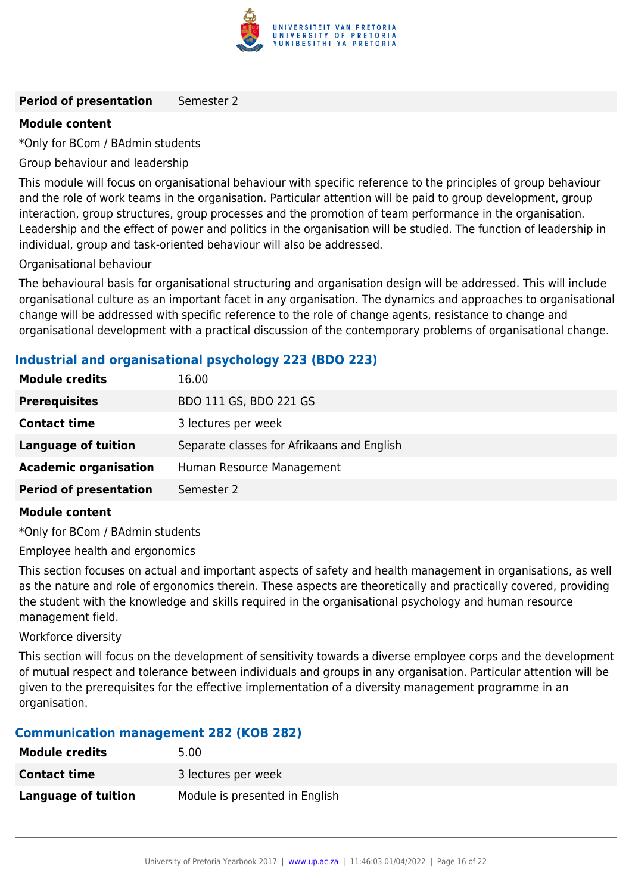

#### **Period of presentation** Semester 2

#### **Module content**

\*Only for BCom / BAdmin students

Group behaviour and leadership

This module will focus on organisational behaviour with specific reference to the principles of group behaviour and the role of work teams in the organisation. Particular attention will be paid to group development, group interaction, group structures, group processes and the promotion of team performance in the organisation. Leadership and the effect of power and politics in the organisation will be studied. The function of leadership in individual, group and task-oriented behaviour will also be addressed.

Organisational behaviour

The behavioural basis for organisational structuring and organisation design will be addressed. This will include organisational culture as an important facet in any organisation. The dynamics and approaches to organisational change will be addressed with specific reference to the role of change agents, resistance to change and organisational development with a practical discussion of the contemporary problems of organisational change.

## **Industrial and organisational psychology 223 (BDO 223)**

| <b>Module credits</b>         | 16.00                                      |
|-------------------------------|--------------------------------------------|
| <b>Prerequisites</b>          | BDO 111 GS, BDO 221 GS                     |
| <b>Contact time</b>           | 3 lectures per week                        |
| <b>Language of tuition</b>    | Separate classes for Afrikaans and English |
| <b>Academic organisation</b>  | Human Resource Management                  |
| <b>Period of presentation</b> | Semester 2                                 |

#### **Module content**

\*Only for BCom / BAdmin students

Employee health and ergonomics

This section focuses on actual and important aspects of safety and health management in organisations, as well as the nature and role of ergonomics therein. These aspects are theoretically and practically covered, providing the student with the knowledge and skills required in the organisational psychology and human resource management field.

#### Workforce diversity

This section will focus on the development of sensitivity towards a diverse employee corps and the development of mutual respect and tolerance between individuals and groups in any organisation. Particular attention will be given to the prerequisites for the effective implementation of a diversity management programme in an organisation.

## **Communication management 282 (KOB 282)**

| <b>Module credits</b> | 5.00                           |
|-----------------------|--------------------------------|
| <b>Contact time</b>   | 3 lectures per week            |
| Language of tuition   | Module is presented in English |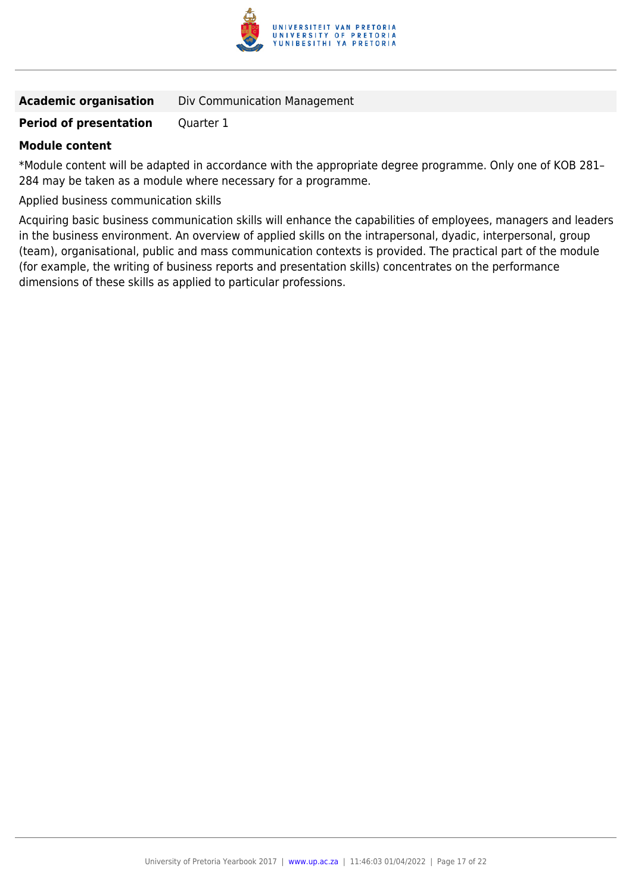

|  | <b>Academic organisation</b> | Div Communication Management |
|--|------------------------------|------------------------------|
|--|------------------------------|------------------------------|

#### **Period of presentation** Quarter 1

#### **Module content**

\*Module content will be adapted in accordance with the appropriate degree programme. Only one of KOB 281– 284 may be taken as a module where necessary for a programme.

Applied business communication skills

Acquiring basic business communication skills will enhance the capabilities of employees, managers and leaders in the business environment. An overview of applied skills on the intrapersonal, dyadic, interpersonal, group (team), organisational, public and mass communication contexts is provided. The practical part of the module (for example, the writing of business reports and presentation skills) concentrates on the performance dimensions of these skills as applied to particular professions.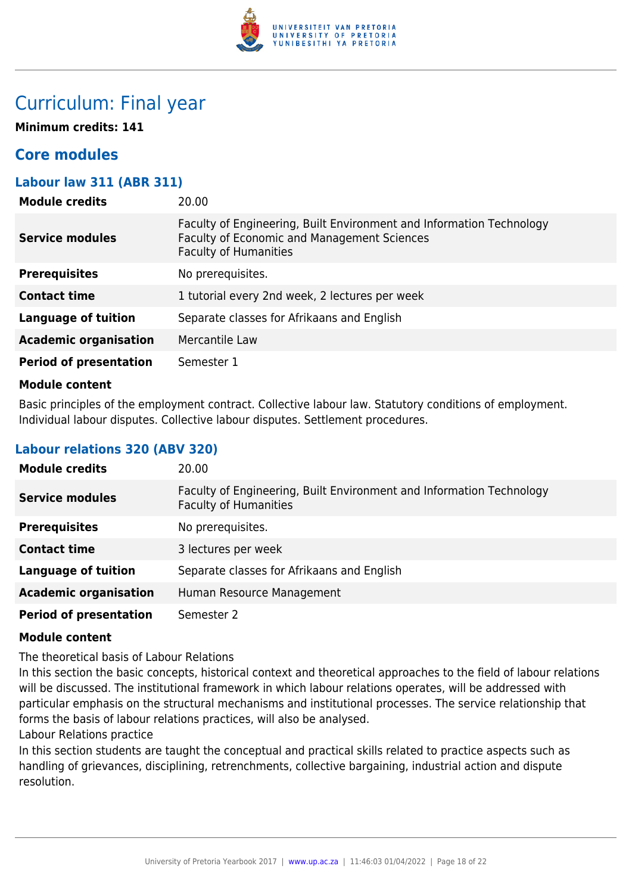

## Curriculum: Final year

**Minimum credits: 141**

## **Core modules**

## **Labour law 311 (ABR 311)**

| <b>Module credits</b>         | 20.00                                                                                                                                                      |
|-------------------------------|------------------------------------------------------------------------------------------------------------------------------------------------------------|
| <b>Service modules</b>        | Faculty of Engineering, Built Environment and Information Technology<br><b>Faculty of Economic and Management Sciences</b><br><b>Faculty of Humanities</b> |
| <b>Prerequisites</b>          | No prerequisites.                                                                                                                                          |
| <b>Contact time</b>           | 1 tutorial every 2nd week, 2 lectures per week                                                                                                             |
| <b>Language of tuition</b>    | Separate classes for Afrikaans and English                                                                                                                 |
| <b>Academic organisation</b>  | Mercantile Law                                                                                                                                             |
| <b>Period of presentation</b> | Semester 1                                                                                                                                                 |
|                               |                                                                                                                                                            |

#### **Module content**

Basic principles of the employment contract. Collective labour law. Statutory conditions of employment. Individual labour disputes. Collective labour disputes. Settlement procedures.

### **Labour relations 320 (ABV 320)**

| <b>Module credits</b>         | 20.00                                                                                                |
|-------------------------------|------------------------------------------------------------------------------------------------------|
| <b>Service modules</b>        | Faculty of Engineering, Built Environment and Information Technology<br><b>Faculty of Humanities</b> |
| <b>Prerequisites</b>          | No prerequisites.                                                                                    |
| <b>Contact time</b>           | 3 lectures per week                                                                                  |
| <b>Language of tuition</b>    | Separate classes for Afrikaans and English                                                           |
| <b>Academic organisation</b>  | Human Resource Management                                                                            |
| <b>Period of presentation</b> | Semester 2                                                                                           |

#### **Module content**

The theoretical basis of Labour Relations

In this section the basic concepts, historical context and theoretical approaches to the field of labour relations will be discussed. The institutional framework in which labour relations operates, will be addressed with particular emphasis on the structural mechanisms and institutional processes. The service relationship that forms the basis of labour relations practices, will also be analysed.

Labour Relations practice

In this section students are taught the conceptual and practical skills related to practice aspects such as handling of grievances, disciplining, retrenchments, collective bargaining, industrial action and dispute resolution.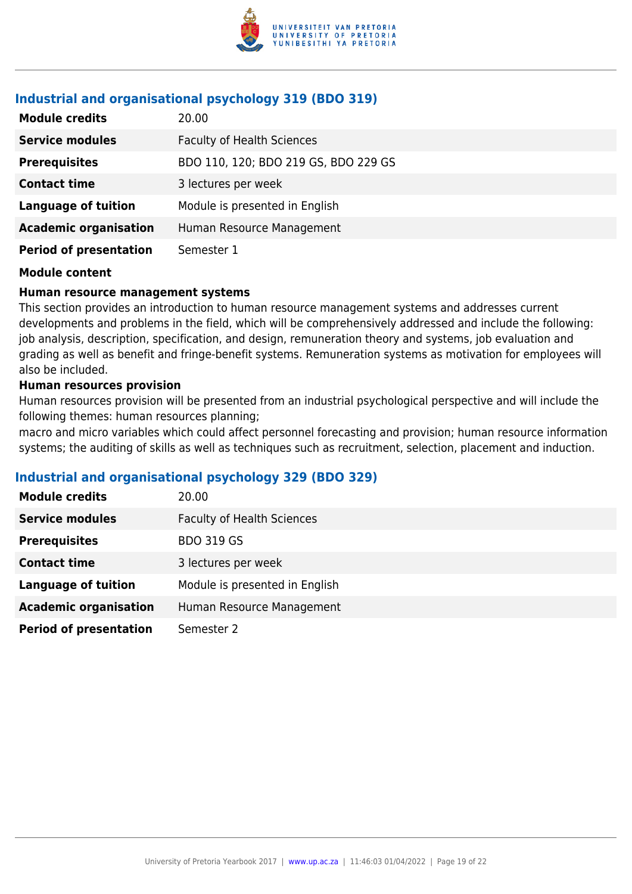

## **Industrial and organisational psychology 319 (BDO 319)**

| <b>Module credits</b>         | 20.00                                |
|-------------------------------|--------------------------------------|
| <b>Service modules</b>        | <b>Faculty of Health Sciences</b>    |
| <b>Prerequisites</b>          | BDO 110, 120; BDO 219 GS, BDO 229 GS |
| <b>Contact time</b>           | 3 lectures per week                  |
| <b>Language of tuition</b>    | Module is presented in English       |
| <b>Academic organisation</b>  | Human Resource Management            |
| <b>Period of presentation</b> | Semester 1                           |

## **Module content**

## **Human resource management systems**

This section provides an introduction to human resource management systems and addresses current developments and problems in the field, which will be comprehensively addressed and include the following: job analysis, description, specification, and design, remuneration theory and systems, job evaluation and grading as well as benefit and fringe-benefit systems. Remuneration systems as motivation for employees will also be included.

## **Human resources provision**

Human resources provision will be presented from an industrial psychological perspective and will include the following themes: human resources planning;

macro and micro variables which could affect personnel forecasting and provision; human resource information systems; the auditing of skills as well as techniques such as recruitment, selection, placement and induction.

## **Industrial and organisational psychology 329 (BDO 329)**

| <b>Module credits</b>         | 20.00                             |
|-------------------------------|-----------------------------------|
| <b>Service modules</b>        | <b>Faculty of Health Sciences</b> |
| <b>Prerequisites</b>          | <b>BDO 319 GS</b>                 |
| <b>Contact time</b>           | 3 lectures per week               |
| <b>Language of tuition</b>    | Module is presented in English    |
| <b>Academic organisation</b>  | Human Resource Management         |
| <b>Period of presentation</b> | Semester 2                        |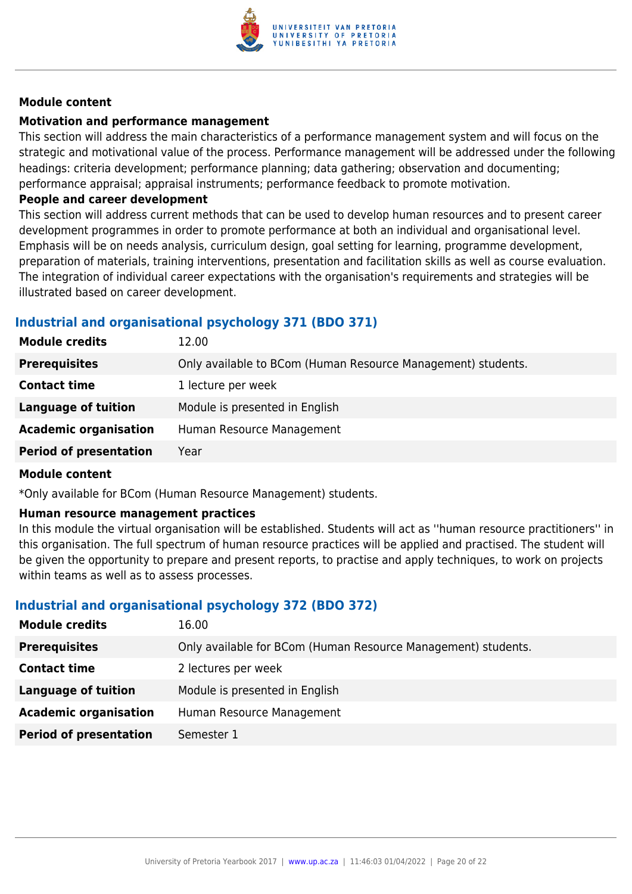

#### **Motivation and performance management**

This section will address the main characteristics of a performance management system and will focus on the strategic and motivational value of the process. Performance management will be addressed under the following headings: criteria development; performance planning; data gathering; observation and documenting; performance appraisal; appraisal instruments; performance feedback to promote motivation.

#### **People and career development**

This section will address current methods that can be used to develop human resources and to present career development programmes in order to promote performance at both an individual and organisational level. Emphasis will be on needs analysis, curriculum design, goal setting for learning, programme development, preparation of materials, training interventions, presentation and facilitation skills as well as course evaluation. The integration of individual career expectations with the organisation's requirements and strategies will be illustrated based on career development.

## **Industrial and organisational psychology 371 (BDO 371)**

| <b>Module credits</b>         | 12.00                                                        |
|-------------------------------|--------------------------------------------------------------|
| <b>Prerequisites</b>          | Only available to BCom (Human Resource Management) students. |
| <b>Contact time</b>           | 1 lecture per week                                           |
| Language of tuition           | Module is presented in English                               |
| <b>Academic organisation</b>  | Human Resource Management                                    |
| <b>Period of presentation</b> | Year                                                         |

#### **Module content**

\*Only available for BCom (Human Resource Management) students.

#### **Human resource management practices**

In this module the virtual organisation will be established. Students will act as ''human resource practitioners'' in this organisation. The full spectrum of human resource practices will be applied and practised. The student will be given the opportunity to prepare and present reports, to practise and apply techniques, to work on projects within teams as well as to assess processes.

## **Industrial and organisational psychology 372 (BDO 372)**

| <b>Module credits</b>         | 16.00                                                         |
|-------------------------------|---------------------------------------------------------------|
| <b>Prerequisites</b>          | Only available for BCom (Human Resource Management) students. |
| <b>Contact time</b>           | 2 lectures per week                                           |
| <b>Language of tuition</b>    | Module is presented in English                                |
| <b>Academic organisation</b>  | Human Resource Management                                     |
| <b>Period of presentation</b> | Semester 1                                                    |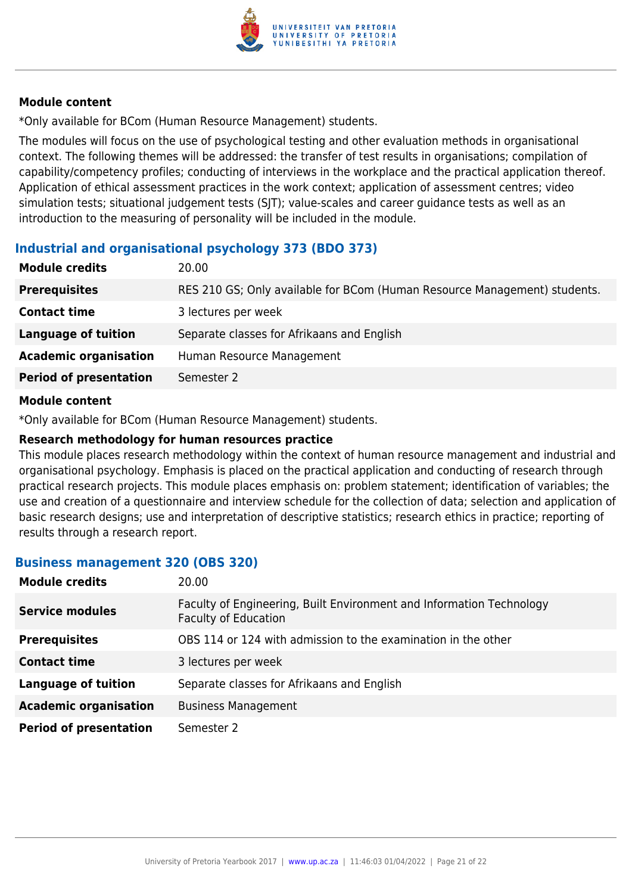

\*Only available for BCom (Human Resource Management) students.

The modules will focus on the use of psychological testing and other evaluation methods in organisational context. The following themes will be addressed: the transfer of test results in organisations; compilation of capability/competency profiles; conducting of interviews in the workplace and the practical application thereof. Application of ethical assessment practices in the work context; application of assessment centres; video simulation tests; situational judgement tests (SJT); value-scales and career guidance tests as well as an introduction to the measuring of personality will be included in the module.

## **Industrial and organisational psychology 373 (BDO 373)**

| <b>Module credits</b>         | 20.00                                                                     |
|-------------------------------|---------------------------------------------------------------------------|
| <b>Prerequisites</b>          | RES 210 GS; Only available for BCom (Human Resource Management) students. |
| <b>Contact time</b>           | 3 lectures per week                                                       |
| <b>Language of tuition</b>    | Separate classes for Afrikaans and English                                |
| <b>Academic organisation</b>  | Human Resource Management                                                 |
| <b>Period of presentation</b> | Semester 2                                                                |
|                               |                                                                           |

#### **Module content**

\*Only available for BCom (Human Resource Management) students.

#### **Research methodology for human resources practice**

This module places research methodology within the context of human resource management and industrial and organisational psychology. Emphasis is placed on the practical application and conducting of research through practical research projects. This module places emphasis on: problem statement; identification of variables; the use and creation of a questionnaire and interview schedule for the collection of data; selection and application of basic research designs; use and interpretation of descriptive statistics; research ethics in practice; reporting of results through a research report.

#### **Business management 320 (OBS 320)**

| <b>Module credits</b>         | 20.00                                                                                               |
|-------------------------------|-----------------------------------------------------------------------------------------------------|
| <b>Service modules</b>        | Faculty of Engineering, Built Environment and Information Technology<br><b>Faculty of Education</b> |
| <b>Prerequisites</b>          | OBS 114 or 124 with admission to the examination in the other                                       |
| <b>Contact time</b>           | 3 lectures per week                                                                                 |
| <b>Language of tuition</b>    | Separate classes for Afrikaans and English                                                          |
| <b>Academic organisation</b>  | <b>Business Management</b>                                                                          |
| <b>Period of presentation</b> | Semester 2                                                                                          |